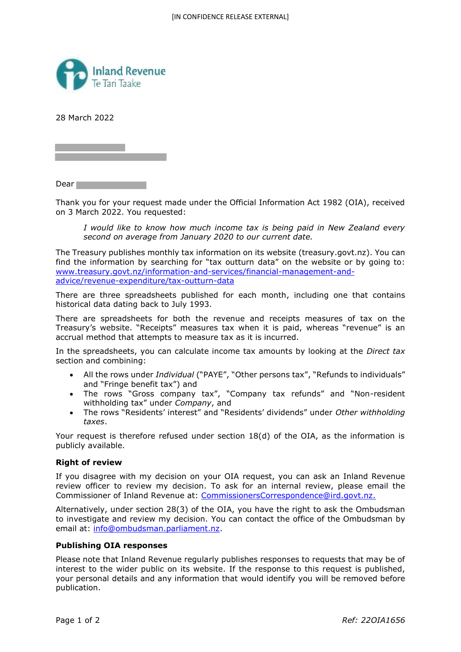

28 March 2022

Dear<sub>1</sub>

Thank you for your request made under the Official Information Act 1982 (OIA), received on 3 March 2022. You requested:

*I would like to know how much income tax is being paid in New Zealand every second on average from January 2020 to our current date.*

The Treasury publishes monthly tax information on its website (treasury.govt.nz). You can find the information by searching for "tax outturn data" on the website or by going to: www.treasury.govt.nz/information-and-services/financial-management-andadvice/revenue-expenditure/tax-outturn-data

There are three spreadsheets published for each month, including one that contains historical data dating back to July 1993.

There are spreadsheets for both the revenue and receipts measures of tax on the Treasury's website. "Receipts" measures tax when it is paid, whereas "revenue" is an accrual method that attempts to measure tax as it is incurred.

In the spreadsheets, you can calculate income tax amounts by looking at the *Direct tax* section and combining:

- All the rows under *Individual* ("PAYE", "Other persons tax", "Refunds to individuals" and "Fringe benefit tax") and
- The rows "Gross company tax", "Company tax refunds" and "Non-resident withholding tax" under *Company*, and
- The rows "Residents' interest" and "Residents' dividends" under *Other withholding taxes*.

Your request is therefore refused under section 18(d) of the OIA, as the information is publicly available.

## **Right of review**

If you disagree with my decision on your OIA request, you can ask an Inland Revenue review officer to review my decision. To ask for an internal review, please email the Commissioner of Inland Revenue at: CommissionersCorrespondence@ird.govt.nz.

Alternatively, under section 28(3) of the OIA, you have the right to ask the Ombudsman to investigate and review my decision. You can contact the office of the Ombudsman by email at: info@ombudsman.parliament.nz.

## **Publishing OIA responses**

Please note that Inland Revenue regularly publishes responses to requests that may be of interest to the wider public on its website. If the response to this request is published, your personal details and any information that would identify you will be removed before publication.